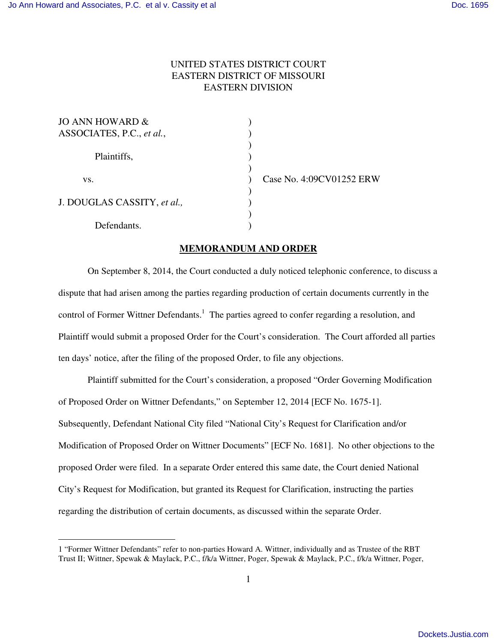-

## UNITED STATES DISTRICT COURT EASTERN DISTRICT OF MISSOURI EASTERN DIVISION

| JO ANN HOWARD $\&$<br>ASSOCIATES, P.C., et al., |  |
|-------------------------------------------------|--|
| Plaintiffs,                                     |  |
| VS.                                             |  |
| J. DOUGLAS CASSITY, et al.,                     |  |
| Defendants.                                     |  |

Case No. 4:09CV01252 ERW

## **MEMORANDUM AND ORDER**

On September 8, 2014, the Court conducted a duly noticed telephonic conference, to discuss a dispute that had arisen among the parties regarding production of certain documents currently in the control of Former Wittner Defendants.<sup>1</sup> The parties agreed to confer regarding a resolution, and Plaintiff would submit a proposed Order for the Court's consideration. The Court afforded all parties ten days' notice, after the filing of the proposed Order, to file any objections.

Plaintiff submitted for the Court's consideration, a proposed "Order Governing Modification of Proposed Order on Wittner Defendants," on September 12, 2014 [ECF No. 1675-1]. Subsequently, Defendant National City filed "National City's Request for Clarification and/or Modification of Proposed Order on Wittner Documents" [ECF No. 1681]. No other objections to the proposed Order were filed. In a separate Order entered this same date, the Court denied National City's Request for Modification, but granted its Request for Clarification, instructing the parties regarding the distribution of certain documents, as discussed within the separate Order.

<sup>1</sup> "Former Wittner Defendants" refer to non-parties Howard A. Wittner, individually and as Trustee of the RBT Trust II; Wittner, Spewak & Maylack, P.C., f/k/a Wittner, Poger, Spewak & Maylack, P.C., f/k/a Wittner, Poger,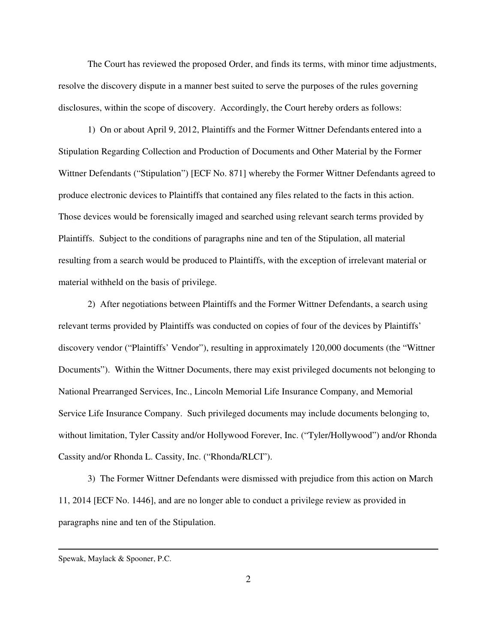The Court has reviewed the proposed Order, and finds its terms, with minor time adjustments, resolve the discovery dispute in a manner best suited to serve the purposes of the rules governing disclosures, within the scope of discovery. Accordingly, the Court hereby orders as follows:

1) On or about April 9, 2012, Plaintiffs and the Former Wittner Defendants entered into a Stipulation Regarding Collection and Production of Documents and Other Material by the Former Wittner Defendants ("Stipulation") [ECF No. 871] whereby the Former Wittner Defendants agreed to produce electronic devices to Plaintiffs that contained any files related to the facts in this action. Those devices would be forensically imaged and searched using relevant search terms provided by Plaintiffs. Subject to the conditions of paragraphs nine and ten of the Stipulation, all material resulting from a search would be produced to Plaintiffs, with the exception of irrelevant material or material withheld on the basis of privilege.

2) After negotiations between Plaintiffs and the Former Wittner Defendants, a search using relevant terms provided by Plaintiffs was conducted on copies of four of the devices by Plaintiffs' discovery vendor ("Plaintiffs' Vendor"), resulting in approximately 120,000 documents (the "Wittner Documents"). Within the Wittner Documents, there may exist privileged documents not belonging to National Prearranged Services, Inc., Lincoln Memorial Life Insurance Company, and Memorial Service Life Insurance Company. Such privileged documents may include documents belonging to, without limitation, Tyler Cassity and/or Hollywood Forever, Inc. ("Tyler/Hollywood") and/or Rhonda Cassity and/or Rhonda L. Cassity, Inc. ("Rhonda/RLCI").

3) The Former Wittner Defendants were dismissed with prejudice from this action on March 11, 2014 [ECF No. 1446], and are no longer able to conduct a privilege review as provided in paragraphs nine and ten of the Stipulation.

<u>.</u>

Spewak, Maylack & Spooner, P.C.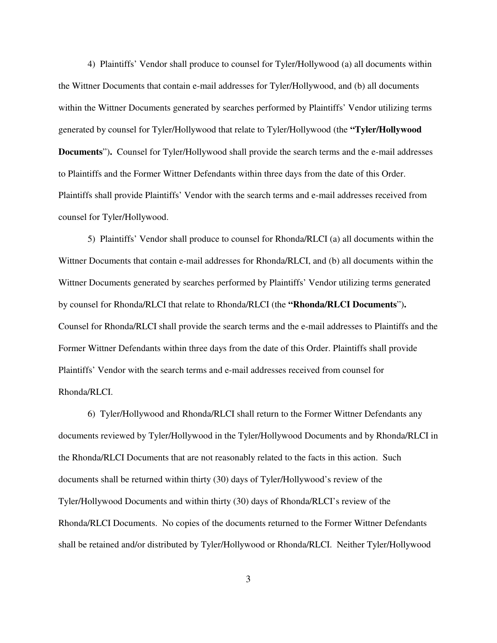4) Plaintiffs' Vendor shall produce to counsel for Tyler/Hollywood (a) all documents within the Wittner Documents that contain e-mail addresses for Tyler/Hollywood, and (b) all documents within the Wittner Documents generated by searches performed by Plaintiffs' Vendor utilizing terms generated by counsel for Tyler/Hollywood that relate to Tyler/Hollywood (the **"Tyler/Hollywood Documents**")**.** Counsel for Tyler/Hollywood shall provide the search terms and the e-mail addresses to Plaintiffs and the Former Wittner Defendants within three days from the date of this Order. Plaintiffs shall provide Plaintiffs' Vendor with the search terms and e-mail addresses received from counsel for Tyler/Hollywood.

5) Plaintiffs' Vendor shall produce to counsel for Rhonda/RLCI (a) all documents within the Wittner Documents that contain e-mail addresses for Rhonda/RLCI, and (b) all documents within the Wittner Documents generated by searches performed by Plaintiffs' Vendor utilizing terms generated by counsel for Rhonda/RLCI that relate to Rhonda/RLCI (the **"Rhonda/RLCI Documents**")**.**  Counsel for Rhonda/RLCI shall provide the search terms and the e-mail addresses to Plaintiffs and the Former Wittner Defendants within three days from the date of this Order. Plaintiffs shall provide Plaintiffs' Vendor with the search terms and e-mail addresses received from counsel for Rhonda/RLCI.

6) Tyler/Hollywood and Rhonda/RLCI shall return to the Former Wittner Defendants any documents reviewed by Tyler/Hollywood in the Tyler/Hollywood Documents and by Rhonda/RLCI in the Rhonda/RLCI Documents that are not reasonably related to the facts in this action. Such documents shall be returned within thirty (30) days of Tyler/Hollywood's review of the Tyler/Hollywood Documents and within thirty (30) days of Rhonda/RLCI's review of the Rhonda/RLCI Documents. No copies of the documents returned to the Former Wittner Defendants shall be retained and/or distributed by Tyler/Hollywood or Rhonda/RLCI. Neither Tyler/Hollywood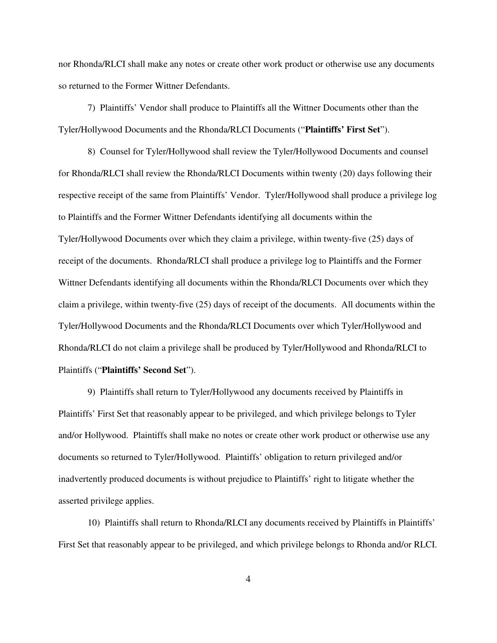nor Rhonda/RLCI shall make any notes or create other work product or otherwise use any documents so returned to the Former Wittner Defendants.

7) Plaintiffs' Vendor shall produce to Plaintiffs all the Wittner Documents other than the Tyler/Hollywood Documents and the Rhonda/RLCI Documents ("**Plaintiffs' First Set**").

8) Counsel for Tyler/Hollywood shall review the Tyler/Hollywood Documents and counsel for Rhonda/RLCI shall review the Rhonda/RLCI Documents within twenty (20) days following their respective receipt of the same from Plaintiffs' Vendor. Tyler/Hollywood shall produce a privilege log to Plaintiffs and the Former Wittner Defendants identifying all documents within the Tyler/Hollywood Documents over which they claim a privilege, within twenty-five (25) days of receipt of the documents. Rhonda/RLCI shall produce a privilege log to Plaintiffs and the Former Wittner Defendants identifying all documents within the Rhonda/RLCI Documents over which they claim a privilege, within twenty-five (25) days of receipt of the documents. All documents within the Tyler/Hollywood Documents and the Rhonda/RLCI Documents over which Tyler/Hollywood and Rhonda/RLCI do not claim a privilege shall be produced by Tyler/Hollywood and Rhonda/RLCI to Plaintiffs ("**Plaintiffs' Second Set**").

9) Plaintiffs shall return to Tyler/Hollywood any documents received by Plaintiffs in Plaintiffs' First Set that reasonably appear to be privileged, and which privilege belongs to Tyler and/or Hollywood. Plaintiffs shall make no notes or create other work product or otherwise use any documents so returned to Tyler/Hollywood. Plaintiffs' obligation to return privileged and/or inadvertently produced documents is without prejudice to Plaintiffs' right to litigate whether the asserted privilege applies.

10) Plaintiffs shall return to Rhonda/RLCI any documents received by Plaintiffs in Plaintiffs' First Set that reasonably appear to be privileged, and which privilege belongs to Rhonda and/or RLCI.

4